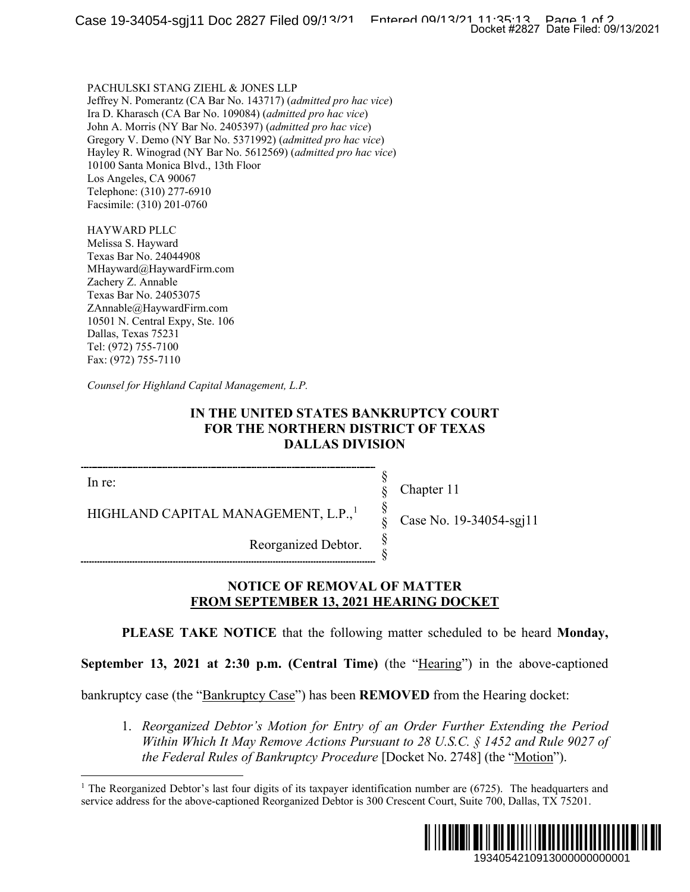PACHULSKI STANG ZIEHL & JONES LLP Jeffrey N. Pomerantz (CA Bar No. 143717) (*admitted pro hac vice*) Ira D. Kharasch (CA Bar No. 109084) (*admitted pro hac vice*) John A. Morris (NY Bar No. 2405397) (*admitted pro hac vice*) Gregory V. Demo (NY Bar No. 5371992) (*admitted pro hac vice*) Hayley R. Winograd (NY Bar No. 5612569) (*admitted pro hac vice*) 10100 Santa Monica Blvd., 13th Floor Los Angeles, CA 90067 Telephone: (310) 277-6910 Facsimile: (310) 201-0760

HAYWARD PLLC Melissa S. Hayward Texas Bar No. 24044908 MHayward@HaywardFirm.com Zachery Z. Annable Texas Bar No. 24053075 ZAnnable@HaywardFirm.com 10501 N. Central Expy, Ste. 106 Dallas, Texas 75231 Tel: (972) 755-7100 Fax: (972) 755-7110

*Counsel for Highland Capital Management, L.P.*

## **IN THE UNITED STATES BANKRUPTCY COURT FOR THE NORTHERN DISTRICT OF TEXAS DALLAS DIVISION**

In re:

Chapter 11

§ § § § § §

HIGHLAND CAPITAL MANAGEMENT, L.P.,<sup>[1](#page-0-0)</sup>

Case No. 19-34054-sgj11

Reorganized Debtor.

# **NOTICE OF REMOVAL OF MATTER FROM SEPTEMBER 13, 2021 HEARING DOCKET**

**PLEASE TAKE NOTICE** that the following matter scheduled to be heard **Monday,** 

**September 13, 2021 at 2:30 p.m. (Central Time)** (the "Hearing") in the above-captioned

<span id="page-0-0"></span>bankruptcy case (the "Bankruptcy Case") has been **REMOVED** from the Hearing docket:

1. *Reorganized Debtor's Motion for Entry of an Order Further Extending the Period Within Which It May Remove Actions Pursuant to 28 U.S.C. § 1452 and Rule 9027 of the Federal Rules of Bankruptcy Procedure* [Docket No. 2748] (the "Motion").

<sup>&</sup>lt;sup>1</sup> The Reorganized Debtor's last four digits of its taxpayer identification number are (6725). The headquarters and service address for the above-captioned Reorganized Debtor is 300 Crescent Court, Suite 700, Dallas, TX 75201.